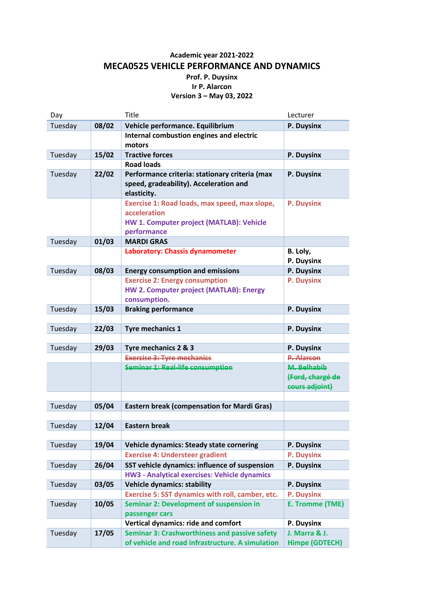## **Academic year 2021-2022 MECA0525 VEHICLE PERFORMANCE AND DYNAMICS Prof. P. Duysinx Ir P. Alarcon Version 3 – May 03, 2022**

| Day     |       | <b>Title</b>                                            | Lecturer               |
|---------|-------|---------------------------------------------------------|------------------------|
| Tuesday | 08/02 | Vehicle performance. Equilibrium                        | P. Duysinx             |
|         |       | Internal combustion engines and electric                |                        |
|         |       | motors                                                  |                        |
| Tuesday | 15/02 | <b>Tractive forces</b>                                  | P. Duysinx             |
|         |       | <b>Road loads</b>                                       |                        |
| Tuesday | 22/02 | Performance criteria: stationary criteria (max          | P. Duysinx             |
|         |       | speed, gradeability). Acceleration and                  |                        |
|         |       | elasticity.                                             |                        |
|         |       | Exercise 1: Road loads, max speed, max slope,           | P. Duysinx             |
|         |       | acceleration                                            |                        |
|         |       | HW 1. Computer project (MATLAB): Vehicle                |                        |
|         |       | performance                                             |                        |
| Tuesday | 01/03 | <b>MARDI GRAS</b>                                       |                        |
|         |       | Laboratory: Chassis dynamometer                         | B. Loly,               |
|         |       |                                                         | P. Duysinx             |
| Tuesday | 08/03 | <b>Energy consumption and emissions</b>                 | P. Duysinx             |
|         |       | <b>Exercise 2: Energy consumption</b>                   | P. Duysinx             |
|         |       | HW 2. Computer project (MATLAB): Energy                 |                        |
|         |       | consumption.                                            |                        |
| Tuesday | 15/03 | <b>Braking performance</b>                              | P. Duysinx             |
|         |       |                                                         |                        |
| Tuesday | 22/03 | <b>Tyre mechanics 1</b>                                 | P. Duysinx             |
|         |       |                                                         |                        |
| Tuesday | 29/03 | Tyre mechanics 2 & 3                                    | P. Duysinx             |
|         |       | <b>Exercise 3: Tyre mechanics</b>                       | <b>P. Alarcon</b>      |
|         |       | <b>Seminar 1: Real-life consumption</b>                 | M. Belhabib            |
|         |       |                                                         | (Ford, chargé de       |
|         |       |                                                         | cours adjoint)         |
|         |       |                                                         |                        |
| Tuesday | 05/04 | <b>Eastern break (compensation for Mardi Gras)</b>      |                        |
|         |       |                                                         |                        |
| Tuesday | 12/04 | <b>Eastern break</b>                                    |                        |
|         |       |                                                         |                        |
| Tuesday | 19/04 | <b>Vehicle dynamics: Steady state cornering</b>         | P. Duysinx             |
|         |       | <b>Exercise 4: Understeer gradient</b>                  | P. Duysinx             |
| Tuesday | 26/04 | SST vehicle dynamics: influence of suspension           | P. Duysinx             |
|         |       | <b>HW3 - Analytical exercises: Vehicle dynamics</b>     |                        |
| Tuesday | 03/05 | <b>Vehicle dynamics: stability</b>                      | P. Duysinx             |
|         |       | <b>Exercise 5: SST dynamics with roll, camber, etc.</b> | P. Duysinx             |
| Tuesday | 10/05 | <b>Seminar 2: Development of suspension in</b>          | <b>E. Tromme (TME)</b> |
|         |       | passenger cars                                          |                        |
|         |       | Vertical dynamics: ride and comfort                     | P. Duysinx             |
| Tuesday | 17/05 | <b>Seminar 3: Crashworthiness and passive safety</b>    | J. Marra & J.          |
|         |       | of vehicle and road infrastructure. A simulation        | <b>Himpe (GDTECH)</b>  |